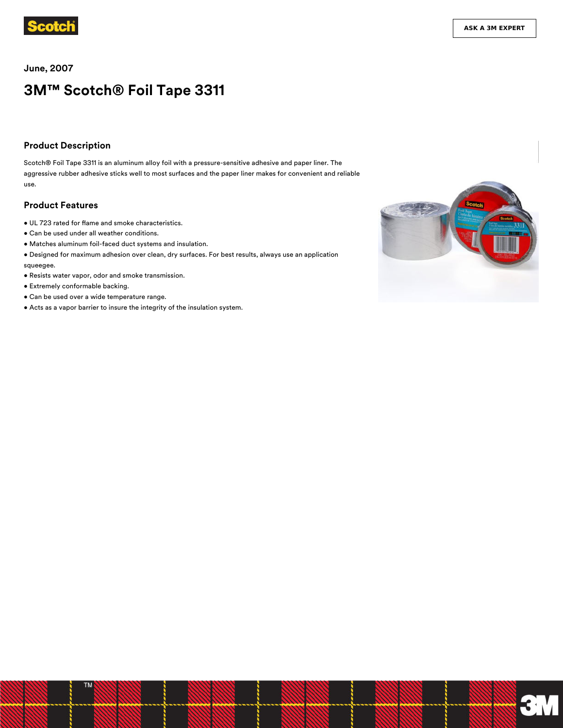

**June, 2007**

# **3M™ Scotch® Foil Tape 3311**

#### **Product Description**

Scotch® Foil Tape 3311 is an aluminum alloy foil with a pressure-sensitive adhesive and paper liner. The aggressive rubber adhesive sticks well to most surfaces and the paper liner makes for convenient and reliable use.

#### **Product Features**

- $\bullet$  UL 723 rated for flame and smoke characteristics.
- Can be used under all weather conditions.
- Matches aluminum foil-faced duct systems and insulation.
- Designed for maximum adhesion over clean, dry surfaces. For best results, always use an application squeegee.
- Resists water vapor, odor and smoke transmission.
- Extremely conformable backing.
- Can be used over a wide temperature range.
- Acts as a vapor barrier to insure the integrity of the insulation system.

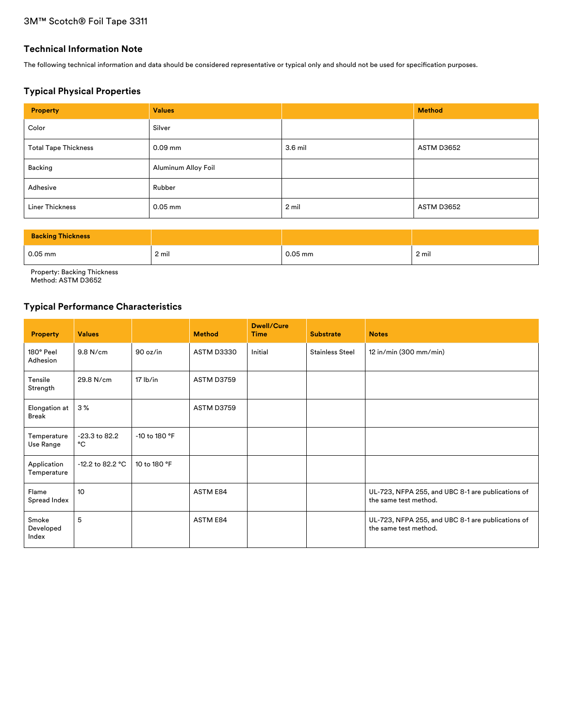## **Technical Information Note**

The following technical information and data should be considered representative or typical only and should not be used for specification purposes.

## **Typical Physical Properties**

| <b>Property</b>             | <b>Values</b>       |         | <b>Method</b> |
|-----------------------------|---------------------|---------|---------------|
| Color                       | Silver              |         |               |
| <b>Total Tape Thickness</b> | $0.09$ mm           | 3.6 mil | ASTM D3652    |
| Backing                     | Aluminum Alloy Foil |         |               |
| Adhesive                    | Rubber              |         |               |
| <b>Liner Thickness</b>      | $0.05$ mm           | 2 mil   | ASTM D3652    |

| <b>Backing Thickness</b> |       |           |       |
|--------------------------|-------|-----------|-------|
| $0.05$ mm                | 2 mil | $0.05$ mm | 2 mil |

Property: Backing Thickness

Method: ASTM D3652

## **Typical Performance Characteristics**

| <b>Property</b>             | <b>Values</b>       |               | <b>Method</b>     | <b>Dwell/Cure</b><br><b>Time</b> | <b>Substrate</b>       | <b>Notes</b>                                                               |
|-----------------------------|---------------------|---------------|-------------------|----------------------------------|------------------------|----------------------------------------------------------------------------|
| 180° Peel<br>Adhesion       | 9.8 N/cm            | 90 oz/in      | ASTM D3330        | Initial                          | <b>Stainless Steel</b> | 12 in/min (300 mm/min)                                                     |
| Tensile<br>Strength         | 29.8 N/cm           | $17$ lb/in    | ASTM D3759        |                                  |                        |                                                                            |
| Elongation at<br>Break      | 3%                  |               | <b>ASTM D3759</b> |                                  |                        |                                                                            |
| Temperature<br>Use Range    | -23.3 to 82.2<br>°C | -10 to 180 °F |                   |                                  |                        |                                                                            |
| Application<br>Temperature  | $-12.2$ to 82.2 °C  | 10 to 180 °F  |                   |                                  |                        |                                                                            |
| Flame<br>Spread Index       | 10 <sup>10</sup>    |               | ASTM E84          |                                  |                        | UL-723, NFPA 255, and UBC 8-1 are publications of<br>the same test method. |
| Smoke<br>Developed<br>Index | 5                   |               | ASTM E84          |                                  |                        | UL-723, NFPA 255, and UBC 8-1 are publications of<br>the same test method. |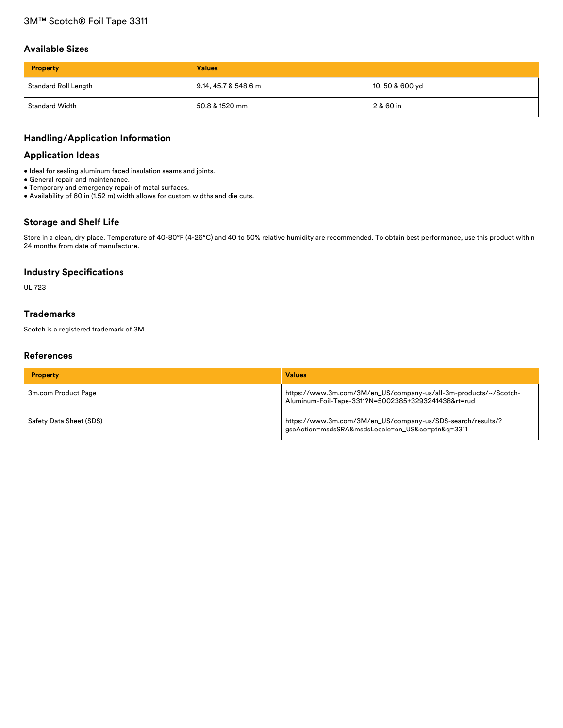#### **Available Sizes**

| <b>Property</b>       | <b>Values</b>        |                 |
|-----------------------|----------------------|-----------------|
| Standard Roll Length  | 9.14, 45.7 & 548.6 m | 10, 50 & 600 yd |
| <b>Standard Width</b> | 50.8 & 1520 mm       | 2 & 60 in       |

## **Handling/Application Information**

#### **Application Ideas**

- Ideal for sealing aluminum faced insulation seams and joints.
- General repair and maintenance.
- Temporary and emergency repair of metal surfaces.
- Availability of 60 in (1.52 m) width allows for custom widths and die cuts.

## **Storage and Shelf Life**

Store in a clean, dry place. Temperature of 40-80°F (4-26°C) and 40 to 50% relative humidity are recommended. To obtain best performance, use this product within 24 months from date of manufacture.

#### **Industry Specifications**

UL 723

## **Trademarks**

Scotch is a registered trademark of 3M.

## **References**

| <b>Property</b>         | <b>Values</b>                                                                                                           |
|-------------------------|-------------------------------------------------------------------------------------------------------------------------|
| 3m.com Product Page     | https://www.3m.com/3M/en_US/company-us/all-3m-products/~/Scotch-<br>Aluminum-Foil-Tape-3311?N=5002385+3293241438&rt=rud |
| Safety Data Sheet (SDS) | https://www.3m.com/3M/en_US/company-us/SDS-search/results/?<br>gsaAction=msdsSRA&msdsLocale=en_US&co=ptn&q=3311         |